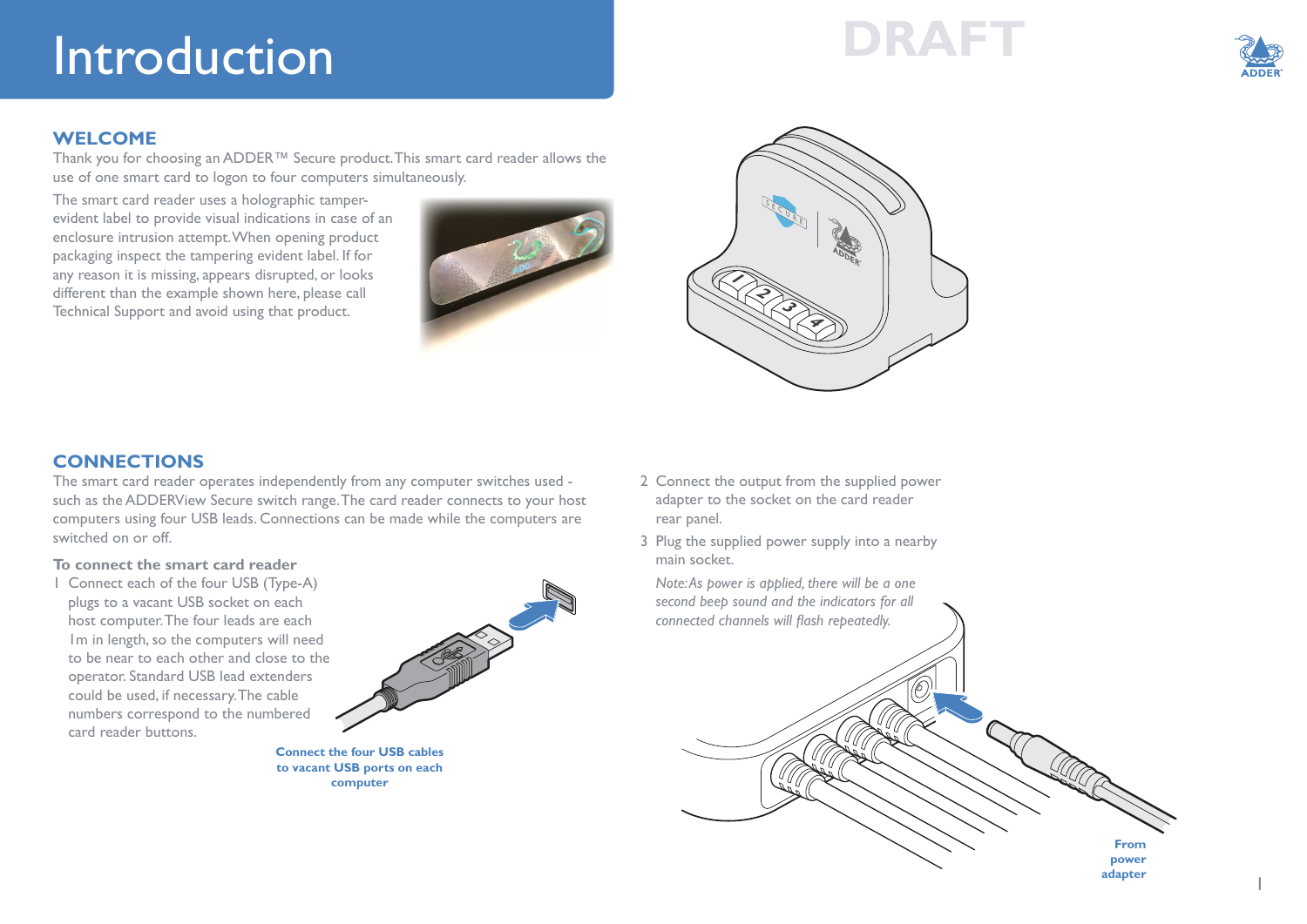# **DRAFT** Introduction



1

#### **WELCOME**

Thank you for choosing an ADDER™ Secure product. This smart card reader allows the use of one smart card to logon to four computers simultaneously.

The smart card reader uses a holographic tamperevident label to provide visual indications in case of an enclosure intrusion attempt. When opening product packaging inspect the tampering evident label. If for any reason it is missing, appears disrupted, or looks different than the example shown here, please call Technical Support and avoid using that product.





### **CONNECTIONS**

The smart card reader operates independently from any computer switches used such as the ADDERView Secure switch range. The card reader connects to your host computers using four USB leads. Connections can be made while the computers are switched on or off.

#### **To connect the smart card reader**

1 Connect each of the four USB (Type-A) plugs to a vacant USB socket on each host computer. The four leads are each 1m in length, so the computers will need to be near to each other and close to the operator. Standard USB lead extenders could be used, if necessary. The cable numbers correspond to the numbered card reader buttons.



**Connect the four USB cables to vacant USB ports on each computer** 

- 2 Connect the output from the supplied power adapter to the socket on the card reader rear panel.
- 3 Plug the supplied power supply into a nearby main socket.

*Note: As power is applied, there will be a one second beep sound and the indicators for all connected channels will flash repeatedly.* **RACCIONES From power adapter**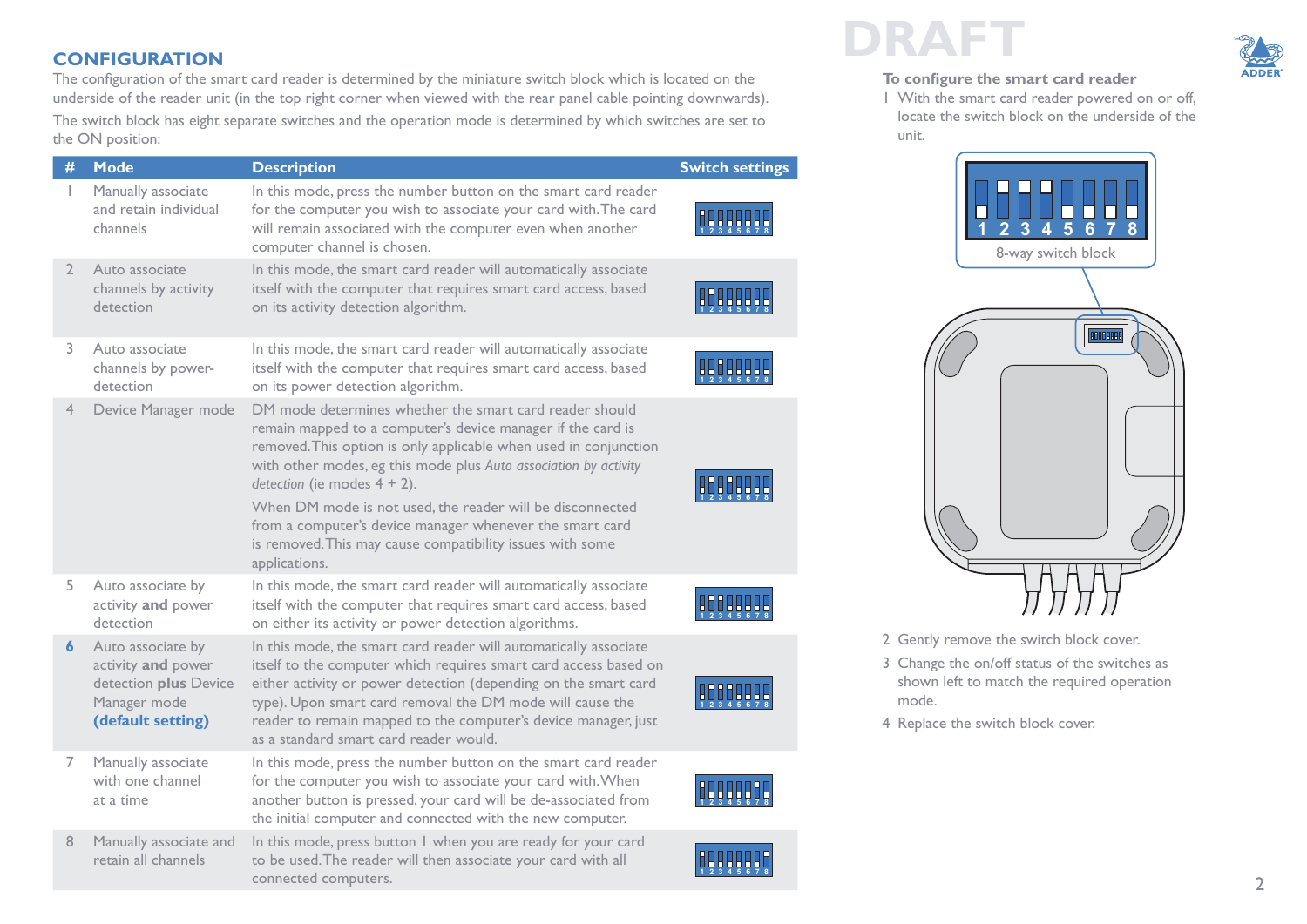the ON position:

<span id="page-1-0"></span>The configuration of the smart card reader is determined by the miniature switch block which is located on the underside of the reader unit (in the top right corner when viewed with the rear panel cable pointing downwards). The switch block has eight separate switches and the operation mode is determined by which switches are set to

| #              | <b>Mode</b>                                                                                           | <b>Description</b>                                                                                                                                                                                                                                                                                                                                                                                                                                                                                      | <b>Switch settings</b> |
|----------------|-------------------------------------------------------------------------------------------------------|---------------------------------------------------------------------------------------------------------------------------------------------------------------------------------------------------------------------------------------------------------------------------------------------------------------------------------------------------------------------------------------------------------------------------------------------------------------------------------------------------------|------------------------|
|                | Manually associate<br>and retain individual<br>channels                                               | In this mode, press the number button on the smart card reader<br>for the computer you wish to associate your card with. The card<br>will remain associated with the computer even when another<br>computer channel is chosen.                                                                                                                                                                                                                                                                          |                        |
| $\overline{2}$ | Auto associate<br>channels by activity<br>detection                                                   | In this mode, the smart card reader will automatically associate<br>itself with the computer that requires smart card access, based<br>on its activity detection algorithm.                                                                                                                                                                                                                                                                                                                             |                        |
| 3.             | Auto associate<br>channels by power-<br>detection                                                     | In this mode, the smart card reader will automatically associate<br>itself with the computer that requires smart card access, based<br>on its power detection algorithm.                                                                                                                                                                                                                                                                                                                                |                        |
| 4              | Device Manager mode                                                                                   | DM mode determines whether the smart card reader should<br>remain mapped to a computer's device manager if the card is<br>removed. This option is only applicable when used in conjunction<br>with other modes, eg this mode plus Auto association by activity<br>detection (ie modes $4 + 2$ ).<br>When DM mode is not used, the reader will be disconnected<br>from a computer's device manager whenever the smart card<br>is removed. This may cause compatibility issues with some<br>applications. |                        |
| 5              | Auto associate by<br>activity and power<br>detection                                                  | In this mode, the smart card reader will automatically associate<br>itself with the computer that requires smart card access, based<br>on either its activity or power detection algorithms.                                                                                                                                                                                                                                                                                                            |                        |
| 6              | Auto associate by<br>activity and power<br>detection plus Device<br>Manager mode<br>(default setting) | In this mode, the smart card reader will automatically associate<br>itself to the computer which requires smart card access based on<br>either activity or power detection (depending on the smart card<br>type). Upon smart card removal the DM mode will cause the<br>reader to remain mapped to the computer's device manager, just<br>as a standard smart card reader would.                                                                                                                        |                        |
| 7              | Manually associate<br>with one channel<br>at a time                                                   | In this mode, press the number button on the smart card reader<br>for the computer you wish to associate your card with. When<br>another button is pressed, your card will be de-associated from<br>the initial computer and connected with the new computer.                                                                                                                                                                                                                                           |                        |
| 8              | Manually associate and<br>retain all channels                                                         | In this mode, press button I when you are ready for your card<br>to be used. The reader will then associate your card with all<br>connected computers.                                                                                                                                                                                                                                                                                                                                                  |                        |

## **CONFIGURATION DRAFT**

#### **To configure the smart card reader**

1 With the smart card reader powered on or off, locate the switch block on the underside of the unit.



- 2 Gently remove the switch block cover.
- 3 Change the on/off status of the switches as shown left to match the required operation mode.
- 4 Replace the switch block cover.

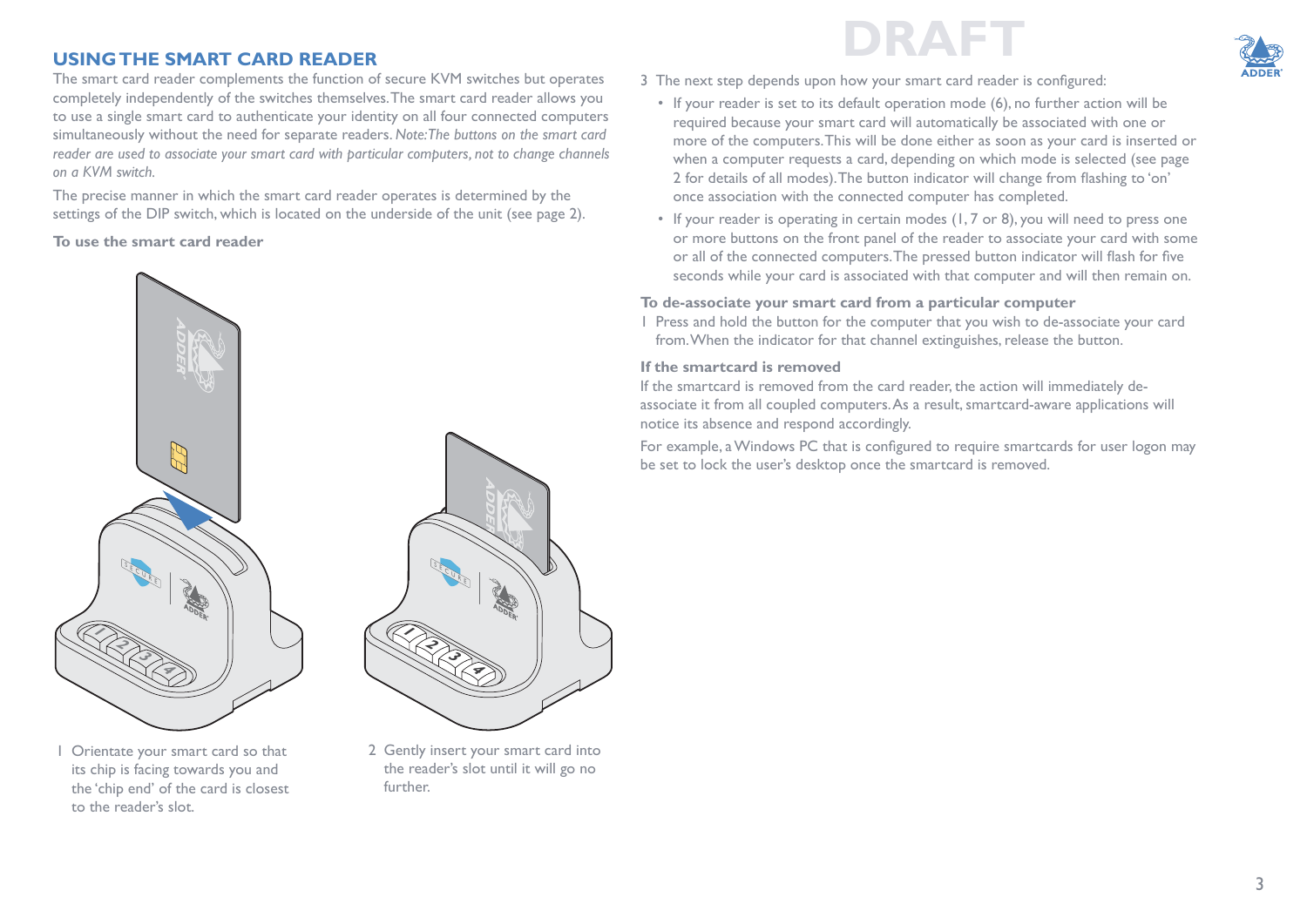### **USING THE SMART CARD READER**

The smart card reader complements the function of secure KVM switches but operates completely independently of the switches themselves. The smart card reader allows you to use a single smart card to authenticate your identity on all four connected computers simultaneously without the need for separate readers. *Note: The buttons on the smart card reader are used to associate your smart card with particular computers, not to change channels on a KVM switch.*

The precise manner in which the smart card reader operates is determined by the settings of the DIP switch, which is located on the underside of the unit (see [page 2\)](#page-1-0).

**To use the smart card reader**



Orientate your smart card so that its chip is facing towards you and the 'chip end' of the card is closest to the reader's slot.





- 3 The next step depends upon how your smart card reader is configured:
	- If your reader is set to its default operation mode (6), no further action will be required because your smart card will automatically be associated with one or more of the computers. This will be done either as soon as your card is inserted or when a computer requests a card, depending on which mode is selected (see [page](#page-1-0)  [2](#page-1-0) for details of all modes). The button indicator will change from flashing to 'on' once association with the connected computer has completed.
	- If your reader is operating in certain modes (1, 7 or 8), you will need to press one or more buttons on the front panel of the reader to associate your card with some or all of the connected computers. The pressed button indicator will flash for five seconds while your card is associated with that computer and will then remain on.

#### **To de-associate your smart card from a particular computer**

1 Press and hold the button for the computer that you wish to de-associate your card from. When the indicator for that channel extinguishes, release the button.

#### **If the smartcard is removed**

If the smartcard is removed from the card reader, the action will immediately deassociate it from all coupled computers. As a result, smartcard-aware applications will notice its absence and respond accordingly.

For example, a Windows PC that is configured to require smartcards for user logon may be set to lock the user's desktop once the smartcard is removed.

2 Gently insert your smart card into the reader's slot until it will go no further.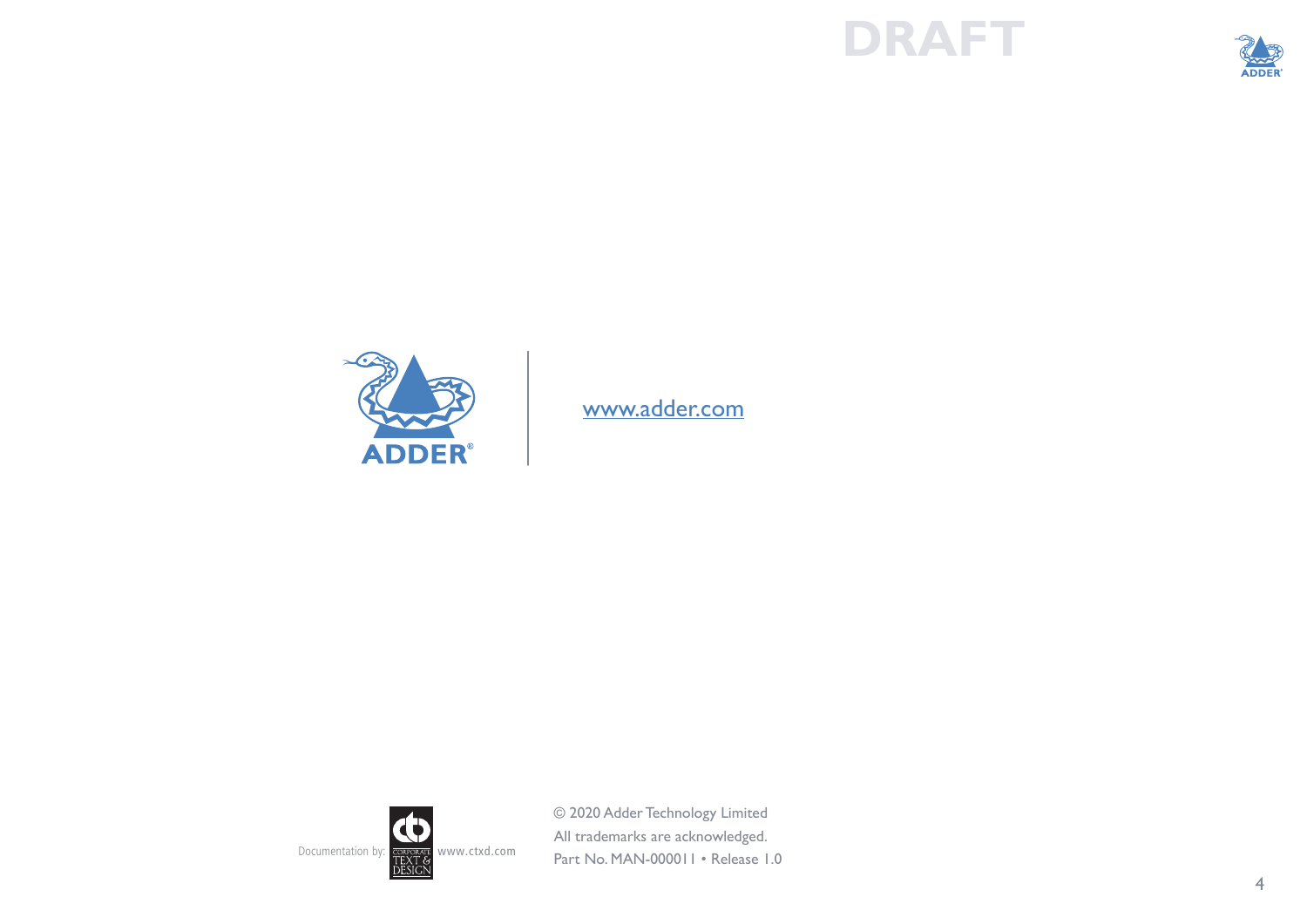## **DRAFT**





[www.adder.com](https://www.adder.com)



© 2020 Adder Technology Limited All trademarks are acknowledged. Part No. MAN-000011 • Release 1.0